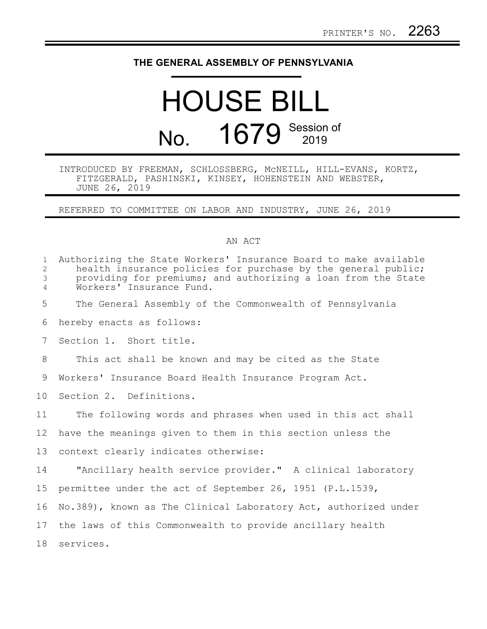## **THE GENERAL ASSEMBLY OF PENNSYLVANIA**

## HOUSE BILL No. 1679 Session of

## INTRODUCED BY FREEMAN, SCHLOSSBERG, McNEILL, HILL-EVANS, KORTZ, FITZGERALD, PASHINSKI, KINSEY, HOHENSTEIN AND WEBSTER, JUNE 26, 2019

REFERRED TO COMMITTEE ON LABOR AND INDUSTRY, JUNE 26, 2019

## AN ACT

| $\mathbf{1}$<br>$\overline{2}$<br>$\mathfrak{Z}$<br>$\overline{4}$ | Authorizing the State Workers' Insurance Board to make available<br>health insurance policies for purchase by the general public;<br>providing for premiums; and authorizing a loan from the State<br>Workers' Insurance Fund. |
|--------------------------------------------------------------------|--------------------------------------------------------------------------------------------------------------------------------------------------------------------------------------------------------------------------------|
| 5                                                                  | The General Assembly of the Commonwealth of Pennsylvania                                                                                                                                                                       |
| 6                                                                  | hereby enacts as follows:                                                                                                                                                                                                      |
| 7                                                                  | Section 1. Short title.                                                                                                                                                                                                        |
| 8                                                                  | This act shall be known and may be cited as the State                                                                                                                                                                          |
| 9                                                                  | Workers' Insurance Board Health Insurance Program Act.                                                                                                                                                                         |
| 10 <sub>o</sub>                                                    | Section 2. Definitions.                                                                                                                                                                                                        |
| 11                                                                 | The following words and phrases when used in this act shall                                                                                                                                                                    |
| 12 <sup>°</sup>                                                    | have the meanings given to them in this section unless the                                                                                                                                                                     |
| 13                                                                 | context clearly indicates otherwise:                                                                                                                                                                                           |
| 14                                                                 | "Ancillary health service provider." A clinical laboratory                                                                                                                                                                     |
| 15                                                                 | permittee under the act of September 26, 1951 (P.L.1539,                                                                                                                                                                       |
| 16                                                                 | No.389), known as The Clinical Laboratory Act, authorized under                                                                                                                                                                |
| 17                                                                 | the laws of this Commonwealth to provide ancillary health                                                                                                                                                                      |
| 18                                                                 | services.                                                                                                                                                                                                                      |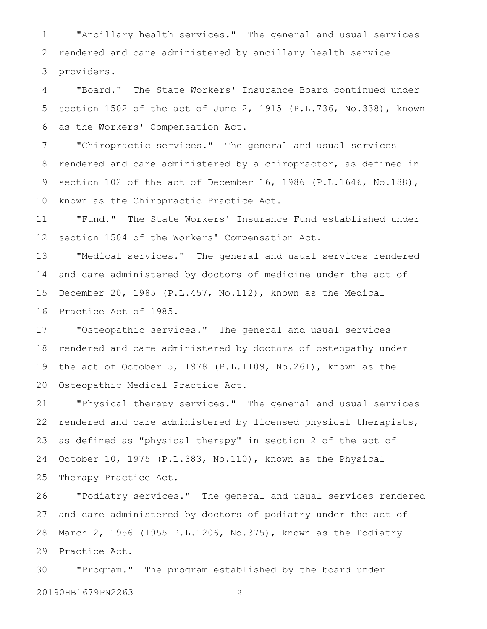"Ancillary health services." The general and usual services rendered and care administered by ancillary health service providers. 1 2 3

"Board." The State Workers' Insurance Board continued under section 1502 of the act of June 2, 1915 (P.L.736, No.338), known as the Workers' Compensation Act. 4 5 6

"Chiropractic services." The general and usual services rendered and care administered by a chiropractor, as defined in section 102 of the act of December 16, 1986 (P.L.1646, No.188), known as the Chiropractic Practice Act. 7 8 9 10

"Fund." The State Workers' Insurance Fund established under section 1504 of the Workers' Compensation Act. 11 12

"Medical services." The general and usual services rendered and care administered by doctors of medicine under the act of December 20, 1985 (P.L.457, No.112), known as the Medical Practice Act of 1985. 13 14 15 16

"Osteopathic services." The general and usual services rendered and care administered by doctors of osteopathy under the act of October 5, 1978 (P.L.1109, No.261), known as the Osteopathic Medical Practice Act. 17 18 19 20

"Physical therapy services." The general and usual services rendered and care administered by licensed physical therapists, as defined as "physical therapy" in section 2 of the act of October 10, 1975 (P.L.383, No.110), known as the Physical Therapy Practice Act. 21 22 23 24 25

"Podiatry services." The general and usual services rendered and care administered by doctors of podiatry under the act of March 2, 1956 (1955 P.L.1206, No.375), known as the Podiatry Practice Act. 26 27 28 29

"Program." The program established by the board under 20190HB1679PN2263 - 2 -30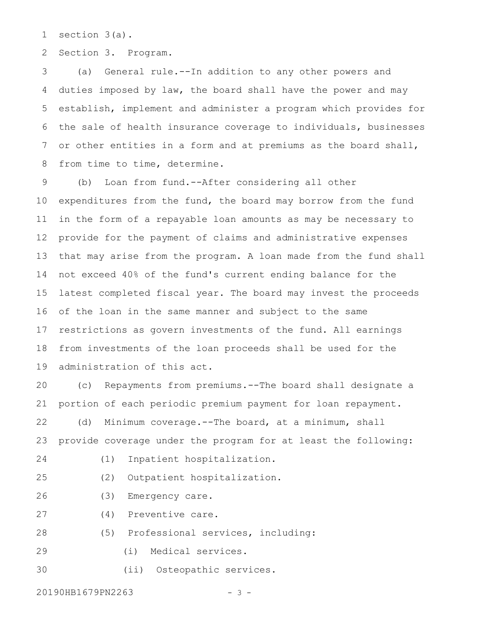section 3(a). 1

Section 3. Program. 2

(a) General rule.--In addition to any other powers and duties imposed by law, the board shall have the power and may establish, implement and administer a program which provides for the sale of health insurance coverage to individuals, businesses or other entities in a form and at premiums as the board shall, from time to time, determine. 3 4 5 6 7 8

(b) Loan from fund.--After considering all other expenditures from the fund, the board may borrow from the fund in the form of a repayable loan amounts as may be necessary to provide for the payment of claims and administrative expenses that may arise from the program. A loan made from the fund shall not exceed 40% of the fund's current ending balance for the latest completed fiscal year. The board may invest the proceeds of the loan in the same manner and subject to the same restrictions as govern investments of the fund. All earnings from investments of the loan proceeds shall be used for the administration of this act. 9 10 11 12 13 14 15 16 17 18 19

(c) Repayments from premiums.--The board shall designate a portion of each periodic premium payment for loan repayment. (d) Minimum coverage.--The board, at a minimum, shall 20 21 22

provide coverage under the program for at least the following: 23

- 24
- (1) Inpatient hospitalization.
- (2) Outpatient hospitalization. 25
- (3) Emergency care. 26
- (4) Preventive care. 27
- (5) Professional services, including: 28
- (i) Medical services. 29

(ii) Osteopathic services. 30

20190HB1679PN2263 - 3 -